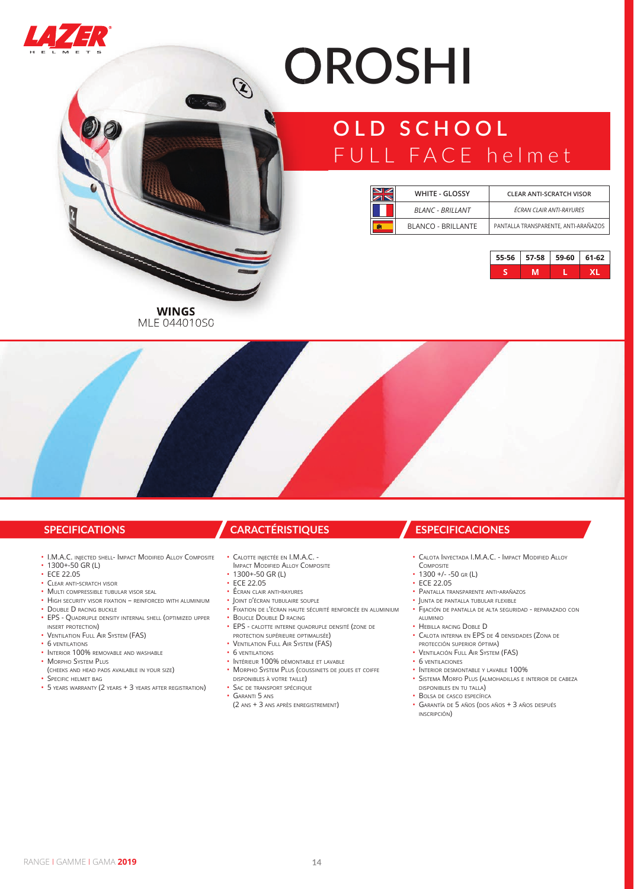

# **OROSHI**

## **OLD SCHOOL** FULL FACE helmet

| $\blacksquare$ | <b>WHITE - GLOSSY</b>   | <b>CLEAR ANTI-SCRATCH VISOR</b>      |  |
|----------------|-------------------------|--------------------------------------|--|
|                | <b>BLANC - BRILLANT</b> | ÉCRAN CLAIR ANTI-RAYURES             |  |
|                | BLANCO - BRILLANTE      | PANTALLA TRANSPARENTE, ANTI-ARAÑAZOS |  |

| $55-56$   57-58   59-60 | $  61-62$ |
|-------------------------|-----------|
|                         |           |

**WINGS WINGS** MLE 044010S0

- I.M.A.C. INJECTED SHELL- IMPACT MODIFIED ALLOY COMPOSITE
- 1300+-50 GR (L)
- **ECE 22.05**
- CLEAR ANTI-SCRATCH VISOR
- MULTI COMPRESSIBLE TUBULAR VISOR SEAL
- HIGH SECURITY VISOR FIXATION REINFORCED WITH ALUMINIUM
- DOUBLE D RACING BUCKLE
- EPS QUADRUPLE DENSITY INTERNAL SHELL (OPTIMIZED UPPER INSERT PROTECTION)
- VENTILATION FULL AIR SYSTEM (FAS)
- 6 VENTILATIONS
- INTERIOR 100% REMOVABLE AND WASHABLE
- MORPHO SYSTEM PLUS (CHEEKS AND HEAD PADS AVAILABLE IN YOUR SIZE)
- SPECIFIC HELMET BAG
- 5 YEARS WARRANTY (2 YEARS + 3 YEARS AFTER REGISTRATION)

- CALOTTE INJECTÉE EN I.M.A.C. -
- IMPACT MODIFIED ALLOY COMPOSITE
- 1300+-50 GR (L)

 $\bigcirc$ 

- ECE 22.05
- ÉCRAN CLAIR ANTI-RAYURES
- JOINT D'ÉCRAN TUBULAIRE SOUPLE
- FIXATION DE L'ÉCRAN HAUTE SÉCURITÉ RENFORCÉE EN ALUMINIUM • BOUCLE DOUBLE D RACING
- 
- EPS CALOTTE INTERNE QUADRUPLE DENSITÉ (ZONE DE PROTECTION SUPÉRIEURE OPTIMALISÉE)
- VENTILATION FULL AIR SYSTEM (FAS)
- 6 VENTILATIONS
- INTÉRIEUR 100% DÉMONTABLE ET LAVABLE • MORPHO SYSTEM PLUS (COUSSINETS DE JOUES ET COIFFE DISPONIBLES <sup>À</sup> VOTRE TAILLE)
- SAC DE TRANSPORT SPÉCIFIQUE
- GARANTI 5 ANS
	- (2 ANS + 3 ANS APRÈS ENREGISTREMENT)

### **SPECIFICATIONS CARACTÉRISTIQUES ESPECIFICACIONES**

- CALOTA INYECTADA I.M.A.C. IMPACT MODIFIED ALLOY
- COMPOSITE
- $\cdot$  1300 +/- -50 GR(L) • ECE 22.05
- 
- PANTALLA TRANSPARENTE ANTI-ARAÑAZOS • JUNTA DE PANTALLA TUBULAR FLEXIBLE
- FIJACIÓN DE PANTALLA DE ALTA SEGURIDAD REPARAZADO CON ALUMINIO
- HEBILLA RACING DOBLE D
- CALOTA INTERNA EN EPS DE 4 DENSIDADES (ZONA DE
- PROTECCIÓN SUPERIOR ÓPTIMA)
- VENTILACIÓN FULL AIR SYSTEM (FAS)
- 6 VENTILACIONES
- INTERIOR DESMONTABLE Y LAVABLE 100%
- SISTEMA MORFO PLUS (ALMOHADILLAS <sup>E</sup> INTERIOR DE CABEZA DISPONIBLES EN TU TALLA)
- BOLSA DE CASCO ESPECÍFICA • GARANTÍA DE 5 AÑOS (DOS AÑOS + 3 AÑOS DESPUÉS INSCRIPCIÓN)